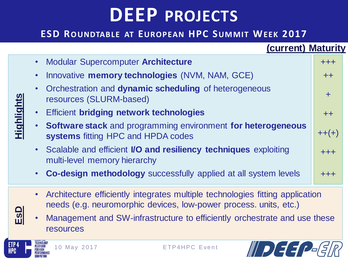## **DEEP PROJECTS**

#### **ESD ROUNDTABLE AT EUROPEAN HPC SUMMIT WEEK 2017**

|                   | (current) Maturity                                                                                        |           |
|-------------------|-----------------------------------------------------------------------------------------------------------|-----------|
| <u>Highlights</u> | • Modular Supercomputer Architecture                                                                      | $+++$     |
|                   | Innovative memory technologies (NVM, NAM, GCE)                                                            | $+ +$     |
|                   | Orchestration and dynamic scheduling of heterogeneous<br>resources (SLURM-based)                          | $\ddot{}$ |
|                   | <b>Efficient bridging network technologies</b>                                                            | $++$      |
|                   | <b>Software stack</b> and programming environment for heterogeneous<br>systems fitting HPC and HPDA codes | $++(+)$   |
|                   | • Scalable and efficient <b>I/O and resiliency techniques</b> exploiting<br>multi-level memory hierarchy  | $+ + +$   |
|                   | <b>Co-design methodology</b> successfully applied at all system levels                                    | +++       |

- Architecture efficiently integrates multiple technologies fitting application needs (e.g. neuromorphic devices, low-power process. units, etc.)
- Management and SW-infrastructure to efficiently orchestrate and use these resources



**EsD**

PLATFORM

ETP<sub>4</sub>

**HPC**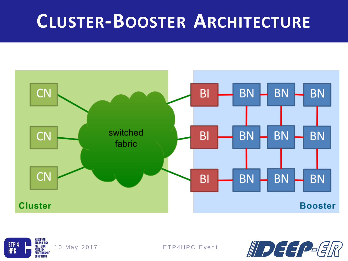## **CLUSTER-BOOSTER ARCHITECTURE**





**ETP4HPC Event** 

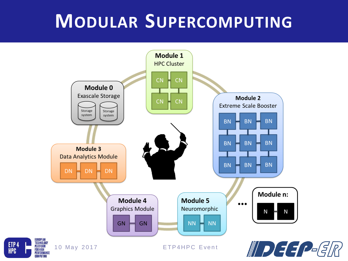## MODULAR SUPERCOMPUTING



ETP<sub>4</sub>

**HPC**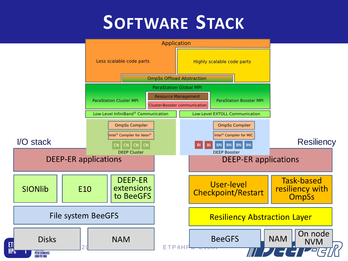## **SOFTWARE STACK**

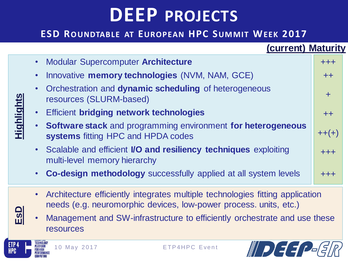## **DEEP PROJECTS**

#### **ESD ROUNDTABLE AT EUROPEAN HPC SUMMIT WEEK 2017**

|                   | (current) Maturity                                                                                        |           |
|-------------------|-----------------------------------------------------------------------------------------------------------|-----------|
| <u>Highlights</u> | • Modular Supercomputer Architecture                                                                      | $+++$     |
|                   | Innovative memory technologies (NVM, NAM, GCE)                                                            | $+ +$     |
|                   | Orchestration and dynamic scheduling of heterogeneous<br>resources (SLURM-based)                          | $\ddot{}$ |
|                   | <b>Efficient bridging network technologies</b>                                                            | $++$      |
|                   | <b>Software stack</b> and programming environment for heterogeneous<br>systems fitting HPC and HPDA codes | $++(+)$   |
|                   | • Scalable and efficient <b>I/O and resiliency techniques</b> exploiting<br>multi-level memory hierarchy  | $+ + +$   |
|                   | <b>Co-design methodology</b> successfully applied at all system levels                                    | +++       |

- Architecture efficiently integrates multiple technologies fitting application needs (e.g. neuromorphic devices, low-power process. units, etc.)
- Management and SW-infrastructure to efficiently orchestrate and use these resources



**EsD**

PLATFORM

ETP<sub>4</sub>

**HPC**